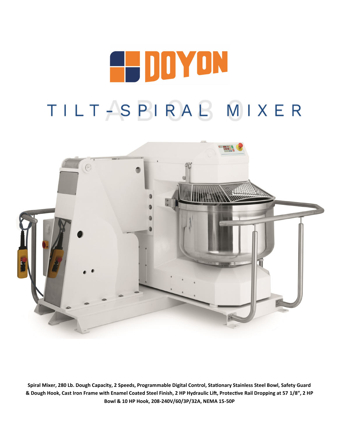# E-DDYON TILT-SPIRAL MIXER



**Spiral Mixer, 280 Lb. Dough Capacity, 2 Speeds, Programmable Digital Control, Stationary Stainless Steel Bowl, Safety Guard & Dough Hook, Cast Iron Frame with Enamel Coated Steel Finish, 2 HP Hydraulic Lift, Protective Rail Dropping at 57 1/8", 2 HP Bowl & 10 HP Hook, 208-240V/60/3P/32A, NEMA 15-50P**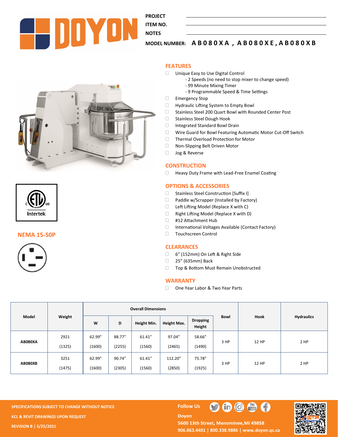

**PROJECT** 

**ITEM NO.** 

## **MODEL NUMBER: A B 0 8 0 X A , A B 0 8 0 X E , A B 0 8 0 X B**

#### **FEATURES**

- □ Unique Easy to Use Digital Control
	- 2 Speeds (no need to stop mixer to change speed)
		- 99 Minute Mixing Timer
		- 9 Programmable Speed & Time Settings
- Emergency Stop
- □ Hydraulic Lifting System to Empty Bowl
- □ Stainless Steel 200 Quart Bowl with Rounded Center Post
- □ Stainless Steel Dough Hook
- □ Integrated Standard Bowl Drain
- □ Wire Guard for Bowl Featuring Automatic Motor Cut-Off Switch
- □ Thermal Overload Protection for Motor
- □ Non-Slipping Belt Driven Motor
- **Jog & Reverse**

#### **CONSTRUCTION**

□ Heavy Duty Frame with Lead-Free Enamel Coating

#### **OPTIONS & ACCESSORIES**

- □ Stainless Steel Construction [Suffix I]
- Paddle w/Scrapper (Installed by Factory)
- □ Left Lifting Model (Replace X with C)
- Right Lifting Model (Replace X with D)
- □ #12 Attachment Hub
- □ International Voltages Available (Contact Factory)
- Touchscreen Control

#### **CLEARANCES**

- 6" (152mm) On Left & Right Side
- □ 25" (635mm) Back
- □ Top & Bottom Must Remain Unobstructed

#### **WARRANTY**

□ One Year Labor & Two Year Parts

| Model          | Weight | <b>Overall Dimensions</b> |        |             |             |                           |             |              |                   |
|----------------|--------|---------------------------|--------|-------------|-------------|---------------------------|-------------|--------------|-------------------|
|                |        | W                         | D      | Height Min. | Height Max. | <b>Dropping</b><br>Height | <b>Bowl</b> | Hook         | <b>Hydraulics</b> |
| <b>AB080XA</b> | 2921   | 62.99"                    | 88.77" | 61.41"      | 97.04"      | 58.66"                    | 3 HP        | <b>12 HP</b> | 2 HP              |
|                | (1325) | (1600)                    | (2255) | (1560)      | (2465)      | (1490)                    |             |              |                   |
| AB080XB        | 3251   | 62.99"                    | 90.74" | 61.41"      | 112.20"     | 75.78"                    | 3 HP        | <b>12 HP</b> | 2 HP              |
|                | (1475) | (1600)                    | (2305) | (1560)      | (2850)      | (1925)                    |             |              |                   |

**SPECIFICATIONS SUBJECT TO CHANGE WITHOUT NOTICE FOLLOW US KCL & REVIT DRAWINGS UPON REQUEST REVISION B | 5/25/2021**

**Doyon** 



5600 13th Street, Menominee, MI 49858 **906.863.4401 | 800.338.9886 | [www.doyon.qc.ca](http://www.doyon.qc.ca/)**

 $\blacksquare$ 

 $\frac{10}{18}$ 





**THERE** 



**NEMA 15-50P**